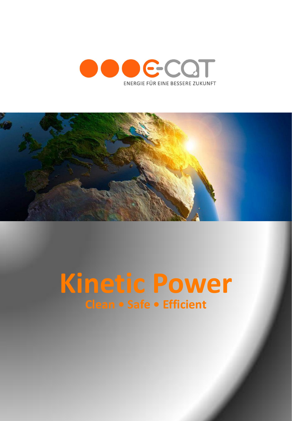



## **Kinetic Power Clean • Safe • Efficient**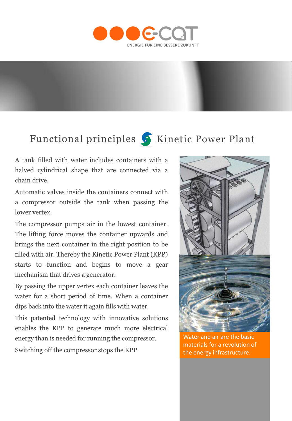

## Functional principles S Kinetic Power Plant

A tank filled with water includes containers with a halved cylindrical shape that are connected via a chain drive.

Automatic valves inside the containers connect with a compressor outside the tank when passing the lower vertex.

The compressor pumps air in the lowest container. The lifting force moves the container upwards and brings the next container in the right position to be filled with air. Thereby the Kinetic Power Plant (KPP) starts to function and begins to move a gear mechanism that drives a generator.

By passing the upper vertex each container leaves the water for a short period of time. When a container dips back into the water it again fills with water.

This patented technology with innovative solutions enables the KPP to generate much more electrical energy than is needed for running the compressor.

Switching off the compressor stops the KPP.



Water and air are the basic materials for a revolution of the energy infrastructure.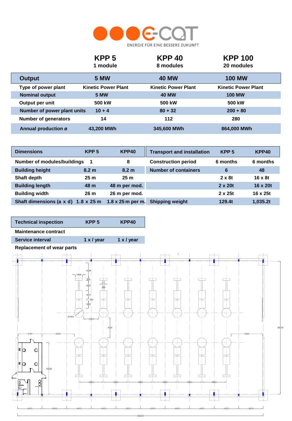

|                             | KPP <sub>5</sub><br>1 module | <b>KPP 40</b><br>8 modules | <b>KPP 100</b><br>20 modules |
|-----------------------------|------------------------------|----------------------------|------------------------------|
| <b>Output</b>               | <b>5 MW</b>                  | 40 MW                      | <b>100 MW</b>                |
| Type of power plant         | <b>Kinetic Power Plant</b>   | <b>Kinetic Power Plant</b> | <b>Kinetic Power Plant</b>   |
| <b>Nominal output</b>       | <b>5 MW</b>                  | <b>40 MW</b>               | <b>100 MW</b>                |
| Output per unit             | 500 kW                       | 500 kW                     | 500 kW                       |
| Number of power plant units | $10 + 4$                     | $80 + 32$                  | $200 + 80$                   |
| <b>Number of generators</b> | 14                           | 112                        | 280                          |
| Annual production ø         | 43.200 MWh                   | 345,600 MWh                | 864,000 MWh                  |

| <b>Dimensions</b>           | KPP <sub>5</sub>          | KPP40                    | <b>Transport and installation</b> | KPP <sub>5</sub> | KPP40          |
|-----------------------------|---------------------------|--------------------------|-----------------------------------|------------------|----------------|
| Number of modules/buildings |                           | 8                        | <b>Construction period</b>        | 6 months         | 6 months       |
| <b>Building height</b>      | 8.2 <sub>m</sub>          | 8.2 <sub>m</sub>         | <b>Number of containers</b>       | 6                | 48             |
| Shaft depth                 | 25 <sub>m</sub>           | 25 <sub>m</sub>          |                                   | $2 \times 8t$    | $16 \times 8t$ |
| <b>Building length</b>      | 48 m                      | 48 m per mod.            |                                   | $2 \times 20t$   | 16 x 20t       |
| <b>Building width</b>       | 26 <sub>m</sub>           | 26 m per mod.            |                                   | $2 \times 25t$   | 16 x 25t       |
| Shaft dimensions (a x d)    | $1.8 \times 25 \text{ m}$ | $1.8 \times 25$ m per m. | <b>Shipping weight</b>            | 129.4t           | 1,035.2t       |

| <b>Technical inspection</b> | KPP <sub>5</sub>  | KPP40             |
|-----------------------------|-------------------|-------------------|
| <b>Maintenance contract</b> |                   |                   |
| <b>Service interval</b>     | $1 \times$ / year | $1 \times$ / year |
|                             |                   |                   |



8000

J